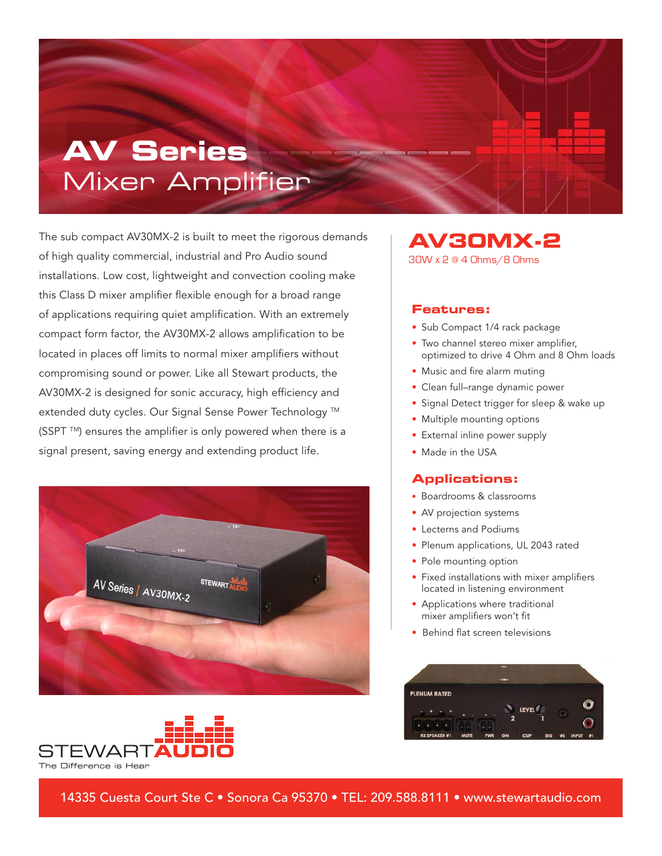# **AV Series** Mixer Amplifier

The sub compact AV30MX-2 is built to meet the rigorous demands of high quality commercial, industrial and Pro Audio sound installations. Low cost, lightweight and convection cooling make this Class D mixer amplifier flexible enough for a broad range of applications requiring quiet amplification. With an extremely compact form factor, the AV30MX-2 allows amplification to be located in places off limits to normal mixer amplifiers without compromising sound or power. Like all Stewart products, the AV30MX-2 is designed for sonic accuracy, high efficiency and extended duty cycles. Our Signal Sense Power Technology ™ (SSPT ™) ensures the amplifier is only powered when there is a signal present, saving energy and extending product life.





**AV30MX-2**

30W x 2 @ 4 Ohms/8 Ohms

#### **Features:**

- Sub Compact 1/4 rack package
- Two channel stereo mixer amplifier, optimized to drive 4 Ohm and 8 Ohm loads
- Music and fire alarm muting
- Clean full–range dynamic power
- Signal Detect trigger for sleep & wake up
- Multiple mounting options
- External inline power supply
- Made in the USA

#### **Applications:**

- Boardrooms & classrooms
- AV projection systems
- Lecterns and Podiums
- Plenum applications, UL 2043 rated
- Pole mounting option
- Fixed installations with mixer amplifiers located in listening environment
- Applications where traditional mixer amplifiers won't fit
- Behind flat screen televisions



14335 Cuesta Court Ste C • Sonora Ca 95370 • TEL: 209.588.8111 • www.stewartaudio.com